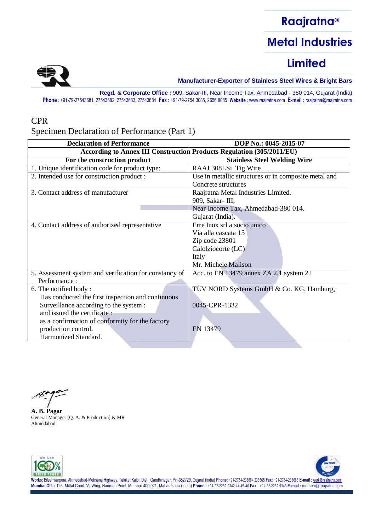

––––––––––––––––––––––––– **Manufacturer-Exporter of Stainless Steel Wires & Bright Bars**

**Regd. & Corporate Office :** 909, Sakar-III, Near Income Tax, Ahmedabad - 380 014. Gujarat (India) **Phone :** +91-79-27543681, 27543682, 27543683, 27543684 **Fax :** +91-79-2754 3085, 2656 8085 **Website :** [www.raajratna.com](http://www.raajratna.com/) **E-mail :** [raajratna@raajratna.com](mailto:raajratna@raajratna.com)

#### CPR

Specimen Declaration of Performance (Part 1)

| <b>Declaration of Performance</b>                                     | DOP No.: 0045-2015-07                                |
|-----------------------------------------------------------------------|------------------------------------------------------|
| According to Annex III Construction Products Regulation (305/2011/EU) |                                                      |
| For the construction product                                          | <b>Stainless Steel Welding Wire</b>                  |
| 1. Unique identification code for product type:                       | RAAJ 308LSi Tig Wire                                 |
| 2. Intended use for construction product :                            | Use in metallic structures or in composite metal and |
|                                                                       | Concrete structures                                  |
| 3. Contact address of manufacturer                                    | Raajratna Metal Industries Limited.                  |
|                                                                       | 909, Sakar- III,                                     |
|                                                                       | Near Income Tax, Ahmedabad-380 014.                  |
|                                                                       | Gujarat (India).                                     |
| 4. Contact address of authorized representative                       | Erre Inox srl a socio unico                          |
|                                                                       | Via alla cascata 15                                  |
|                                                                       | Zip code 23801                                       |
|                                                                       | Calolziocorte (LC)                                   |
|                                                                       | Italy                                                |
|                                                                       | Mr. Michele Malison                                  |
| 5. Assessment system and verification for constancy of                | Acc. to EN 13479 annex ZA 2.1 system $2+$            |
| Performance:                                                          |                                                      |
| 6. The notified body:                                                 | TÜV NORD Systems GmbH & Co. KG, Hamburg,             |
| Has conducted the first inspection and continuous                     |                                                      |
| Surveillance according to the system :                                | 0045-CPR-1332                                        |
| and issued the certificate:                                           |                                                      |
| as a confirmation of conformity for the factory                       |                                                      |
| production control.                                                   | EN 13479                                             |
| Harmonized Standard.                                                  |                                                      |
|                                                                       |                                                      |

**A. B. Pagar** General Manager [Q. A. & Production] & MR Ahmedabad



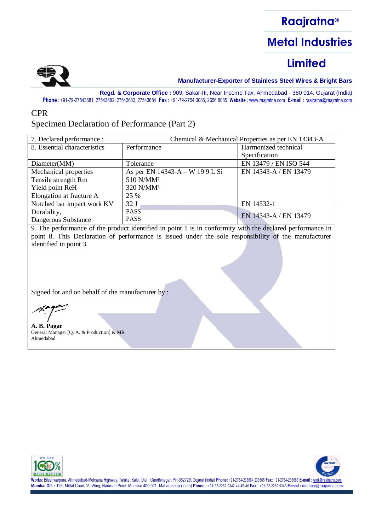

––––––––––––––––––––––––– **Manufacturer-Exporter of Stainless Steel Wires & Bright Bars**

**Regd. & Corporate Office :** 909, Sakar-III, Near Income Tax, Ahmedabad - 380 014. Gujarat (India) **Phone :** +91-79-27543681, 27543682, 27543683, 27543684 **Fax :** +91-79-2754 3085, 2656 8085 **Website :** [www.raajratna.com](http://www.raajratna.com/) **E-mail :** [raajratna@raajratna.com](mailto:raajratna@raajratna.com)

#### CPR

### Specimen Declaration of Performance (Part 2)

| 7. Declared performance :    |                                 |  | Chemical & Mechanical Properties as per EN 14343-A |
|------------------------------|---------------------------------|--|----------------------------------------------------|
| 8. Essential characteristics | Performance                     |  | Harmonized technical                               |
|                              |                                 |  | Specification                                      |
| Diameter(MM)                 | Tolerance                       |  | EN 13479 / EN ISO 544                              |
| Mechanical properties        | As per EN 14343-A – W 19 9 L Si |  | EN 14343-A / EN 13479                              |
| Tensile strength Rm          | 510 N/MM <sup>2</sup>           |  |                                                    |
| Yield point ReH              | 320 N/MM <sup>2</sup>           |  |                                                    |
| Elongation at fracture A     | 25 %                            |  |                                                    |
| Notched bar impact work KV   | 32J                             |  | EN 14532-1                                         |
| Durability,                  | <b>PASS</b>                     |  | EN 14343-A / EN 13479                              |
| Dangerous Substance          | <b>PASS</b>                     |  |                                                    |

9. The performance of the product identified in point 1 is in conformity with the declared performance in point 8. This Declaration of performance is issued under the sole responsibility of the manufacturer identified in point 3.

Signed for and on behalf of the manufacturer by :

**A. B. Pagar** General Manager [Q. A. & Production] & MR Ahmedabad



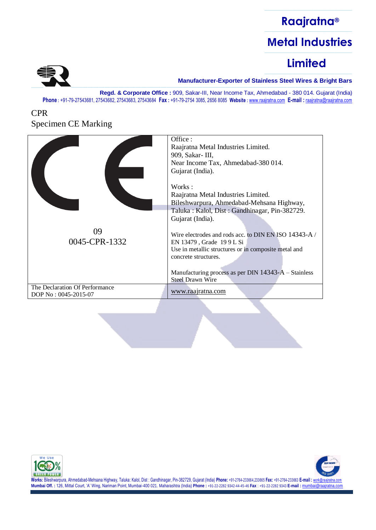### ––––––––––––––––––––––––– **Raajratna®** ––––––––––––––––––––––––– **Metal Industries**  $\frac{1}{\sqrt{2\pi\left(\frac{1}{2}\right)}}$

# **Limited**



––––––––––––––––––––––––– **Manufacturer-Exporter of Stainless Steel Wires & Bright Bars**

**Regd. & Corporate Office :** 909, Sakar-III, Near Income Tax, Ahmedabad - 380 014. Gujarat (India) **Phone :** +91-79-27543681, 27543682, 27543683, 27543684 **Fax :** +91-79-2754 3085, 2656 8085 **Website :** [www.raajratna.com](http://www.raajratna.com/) **E-mail :** [raajratna@raajratna.com](mailto:raajratna@raajratna.com)

### CPR Specimen CE Marking

|                                                        | Office:<br>Raajratna Metal Industries Limited.<br>909, Sakar- III,<br>Near Income Tax, Ahmedabad-380 014.<br>Gujarat (India).                                                                                                                                                                                                                                                                                             |
|--------------------------------------------------------|---------------------------------------------------------------------------------------------------------------------------------------------------------------------------------------------------------------------------------------------------------------------------------------------------------------------------------------------------------------------------------------------------------------------------|
| 09<br>0045-CPR-1332                                    | Works:<br>Raajratna Metal Industries Limited.<br>Bileshwarpura, Ahmedabad-Mehsana Highway,<br>Taluka: Kalol, Dist: Gandhinagar, Pin-382729.<br>Gujarat (India).<br>Wire electrodes and rods acc. to DIN EN ISO 14343-A /<br>EN 13479, Grade 199 L Si<br>Use in metallic structures or in composite metal and<br>concrete structures.<br>Manufacturing process as per DIN $14343-A$ – Stainless<br><b>Steel Drawn Wire</b> |
| The Declaration Of Performance<br>DOP No: 0045-2015-07 | www.raajratna.com                                                                                                                                                                                                                                                                                                                                                                                                         |



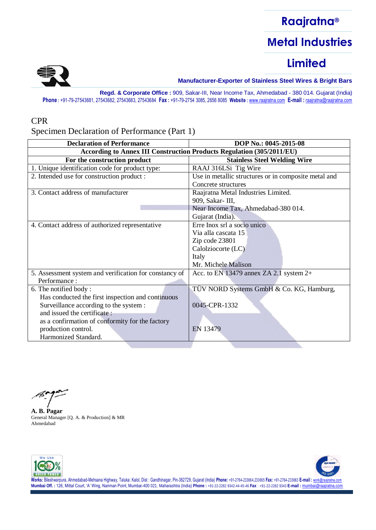

––––––––––––––––––––––––– **Manufacturer-Exporter of Stainless Steel Wires & Bright Bars**

**Regd. & Corporate Office :** 909, Sakar-III, Near Income Tax, Ahmedabad - 380 014. Gujarat (India) **Phone :** +91-79-27543681, 27543682, 27543683, 27543684 **Fax :** +91-79-2754 3085, 2656 8085 **Website :** [www.raajratna.com](http://www.raajratna.com/) **E-mail :** [raajratna@raajratna.com](mailto:raajratna@raajratna.com)

#### CPR

Specimen Declaration of Performance (Part 1)

| <b>Declaration of Performance</b>                                     | DOP No.: 0045-2015-08                                |
|-----------------------------------------------------------------------|------------------------------------------------------|
| According to Annex III Construction Products Regulation (305/2011/EU) |                                                      |
| For the construction product                                          | <b>Stainless Steel Welding Wire</b>                  |
| 1. Unique identification code for product type:                       | RAAJ 316LSi Tig Wire                                 |
| 2. Intended use for construction product :                            | Use in metallic structures or in composite metal and |
|                                                                       | Concrete structures                                  |
| 3. Contact address of manufacturer                                    | Raajratna Metal Industries Limited.                  |
|                                                                       | 909, Sakar- III,                                     |
|                                                                       | Near Income Tax, Ahmedabad-380 014.                  |
|                                                                       | Gujarat (India).                                     |
| 4. Contact address of authorized representative                       | Erre Inox srl a socio unico                          |
|                                                                       | Via alla cascata 15                                  |
|                                                                       | Zip code 23801                                       |
|                                                                       | Calolziocorte (LC)                                   |
|                                                                       | Italy                                                |
|                                                                       | Mr. Michele Malison                                  |
| 5. Assessment system and verification for constancy of                | Acc. to EN 13479 annex ZA 2.1 system $2+$            |
| Performance:                                                          |                                                      |
| 6. The notified body:                                                 | TÜV NORD Systems GmbH & Co. KG, Hamburg,             |
| Has conducted the first inspection and continuous                     |                                                      |
| Surveillance according to the system :                                | 0045-CPR-1332                                        |
| and issued the certificate:                                           |                                                      |
| as a confirmation of conformity for the factory                       |                                                      |
| production control.                                                   | EN 13479                                             |
| Harmonized Standard.                                                  |                                                      |
|                                                                       |                                                      |

**A. B. Pagar** General Manager [Q. A. & Production] & MR Ahmedabad



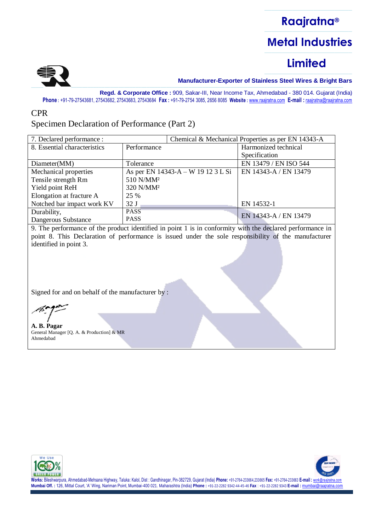

––––––––––––––––––––––––– **Manufacturer-Exporter of Stainless Steel Wires & Bright Bars**

**Regd. & Corporate Office :** 909, Sakar-III, Near Income Tax, Ahmedabad - 380 014. Gujarat (India) **Phone :** +91-79-27543681, 27543682, 27543683, 27543684 **Fax :** +91-79-2754 3085, 2656 8085 **Website :** [www.raajratna.com](http://www.raajratna.com/) **E-mail :** [raajratna@raajratna.com](mailto:raajratna@raajratna.com)

#### CPR

### Specimen Declaration of Performance (Part 2)

| 7. Declared performance :    |                                    |  | Chemical & Mechanical Properties as per EN 14343-A |
|------------------------------|------------------------------------|--|----------------------------------------------------|
| 8. Essential characteristics | Performance                        |  | Harmonized technical                               |
|                              |                                    |  | Specification                                      |
| Diameter(MM)                 | Tolerance                          |  | EN 13479 / EN ISO 544                              |
| Mechanical properties        | As per EN 14343-A – W 19 12 3 L Si |  | EN 14343-A / EN 13479                              |
| Tensile strength Rm          | 510 N/MM <sup>2</sup>              |  |                                                    |
| Yield point ReH              | 320 N/MM <sup>2</sup>              |  |                                                    |
| Elongation at fracture A     | 25 %                               |  |                                                    |
| Notched bar impact work KV   | 32J                                |  | EN 14532-1                                         |
| Durability,                  | <b>PASS</b>                        |  | EN 14343-A / EN 13479                              |
| Dangerous Substance          | <b>PASS</b>                        |  |                                                    |

9. The performance of the product identified in point 1 is in conformity with the declared performance in point 8. This Declaration of performance is issued under the sole responsibility of the manufacturer identified in point 3.

Signed for and on behalf of the manufacturer by :

**A. B. Pagar** General Manager [Q. A. & Production] & MR Ahmedabad



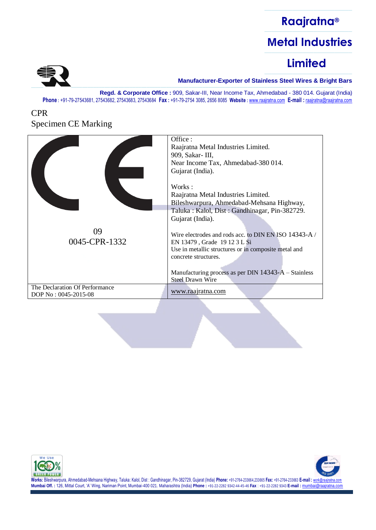### ––––––––––––––––––––––––– **Raajratna®** ––––––––––––––––––––––––– **Metal Industries** –––––––––––––––––––––––––

# **Limited**



––––––––––––––––––––––––– **Manufacturer-Exporter of Stainless Steel Wires & Bright Bars**

**Regd. & Corporate Office :** 909, Sakar-III, Near Income Tax, Ahmedabad - 380 014. Gujarat (India) **Phone :** +91-79-27543681, 27543682, 27543683, 27543684 **Fax :** +91-79-2754 3085, 2656 8085 **Website :** [www.raajratna.com](http://www.raajratna.com/) **E-mail :** [raajratna@raajratna.com](mailto:raajratna@raajratna.com)

### CPR Specimen CE Marking

|                                                        | Office:<br>Raajratna Metal Industries Limited.<br>909, Sakar- III,<br>Near Income Tax, Ahmedabad-380 014.<br>Gujarat (India).                                                                                                                                                                                                                                                                                                |
|--------------------------------------------------------|------------------------------------------------------------------------------------------------------------------------------------------------------------------------------------------------------------------------------------------------------------------------------------------------------------------------------------------------------------------------------------------------------------------------------|
| 09<br>0045-CPR-1332                                    | Works:<br>Raajratna Metal Industries Limited.<br>Bileshwarpura, Ahmedabad-Mehsana Highway,<br>Taluka: Kalol, Dist: Gandhinagar, Pin-382729.<br>Gujarat (India).<br>Wire electrodes and rods acc. to DIN EN ISO 14343-A /<br>EN 13479, Grade 1912 3 L Si<br>Use in metallic structures or in composite metal and<br>concrete structures.<br>Manufacturing process as per DIN $14343-A - Stainless$<br><b>Steel Drawn Wire</b> |
| The Declaration Of Performance<br>DOP No: 0045-2015-08 | www.raajratna.com                                                                                                                                                                                                                                                                                                                                                                                                            |



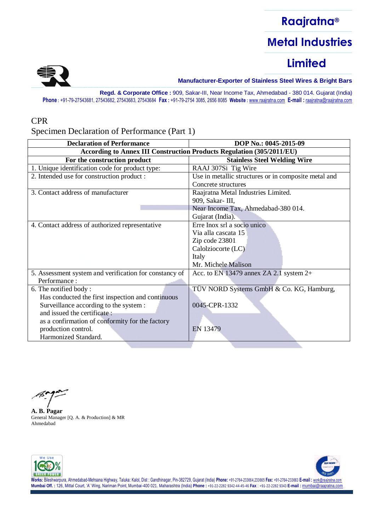

––––––––––––––––––––––––– **Manufacturer-Exporter of Stainless Steel Wires & Bright Bars**

**Regd. & Corporate Office :** 909, Sakar-III, Near Income Tax, Ahmedabad - 380 014. Gujarat (India) **Phone :** +91-79-27543681, 27543682, 27543683, 27543684 **Fax :** +91-79-2754 3085, 2656 8085 **Website :** [www.raajratna.com](http://www.raajratna.com/) **E-mail :** [raajratna@raajratna.com](mailto:raajratna@raajratna.com)

#### CPR

Specimen Declaration of Performance (Part 1)

| <b>Declaration of Performance</b>                                     | DOP No.: 0045-2015-09                                |
|-----------------------------------------------------------------------|------------------------------------------------------|
| According to Annex III Construction Products Regulation (305/2011/EU) |                                                      |
| For the construction product                                          | <b>Stainless Steel Welding Wire</b>                  |
| 1. Unique identification code for product type:                       | RAAJ 307Si Tig Wire                                  |
| 2. Intended use for construction product :                            | Use in metallic structures or in composite metal and |
|                                                                       | Concrete structures                                  |
| 3. Contact address of manufacturer                                    | Raajratna Metal Industries Limited.                  |
|                                                                       | 909, Sakar- III,                                     |
|                                                                       | Near Income Tax, Ahmedabad-380 014.                  |
|                                                                       | Gujarat (India).                                     |
| 4. Contact address of authorized representative                       | Erre Inox srl a socio unico                          |
|                                                                       | Via alla cascata 15                                  |
|                                                                       | Zip code 23801                                       |
|                                                                       | Calolziocorte (LC)                                   |
|                                                                       | Italy                                                |
|                                                                       | Mr. Michele Malison                                  |
| 5. Assessment system and verification for constancy of                | Acc. to EN 13479 annex ZA 2.1 system $2+$            |
| Performance:                                                          |                                                      |
| 6. The notified body:                                                 | TÜV NORD Systems GmbH & Co. KG, Hamburg,             |
| Has conducted the first inspection and continuous                     |                                                      |
| Surveillance according to the system :                                | 0045-CPR-1332                                        |
| and issued the certificate:                                           |                                                      |
| as a confirmation of conformity for the factory                       |                                                      |
| production control.                                                   | EN 13479                                             |
| Harmonized Standard.                                                  |                                                      |
|                                                                       |                                                      |

**A. B. Pagar** General Manager [Q. A. & Production] & MR Ahmedabad



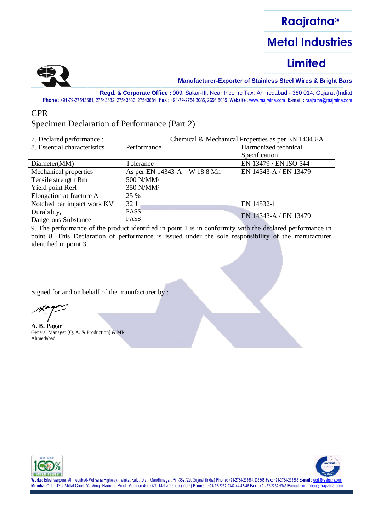

––––––––––––––––––––––––– **Manufacturer-Exporter of Stainless Steel Wires & Bright Bars**

**Regd. & Corporate Office :** 909, Sakar-III, Near Income Tax, Ahmedabad - 380 014. Gujarat (India) **Phone :** +91-79-27543681, 27543682, 27543683, 27543684 **Fax :** +91-79-2754 3085, 2656 8085 **Website :** [www.raajratna.com](http://www.raajratna.com/) **E-mail :** [raajratna@raajratna.com](mailto:raajratna@raajratna.com)

#### CPR

### Specimen Declaration of Performance (Part 2)

| 7. Declared performance :    |                                   |  | Chemical & Mechanical Properties as per EN 14343-A |
|------------------------------|-----------------------------------|--|----------------------------------------------------|
| 8. Essential characteristics | Performance                       |  | Harmonized technical                               |
|                              |                                   |  | Specification                                      |
| Diameter(MM)                 | Tolerance                         |  | EN 13479 / EN ISO 544                              |
| Mechanical properties        | As per EN 14343-A – W 18 8 $Mn^e$ |  | EN 14343-A / EN 13479                              |
| Tensile strength Rm          | 500 N/MM <sup>2</sup>             |  |                                                    |
| Yield point ReH              | 350 N/MM <sup>2</sup>             |  |                                                    |
| Elongation at fracture A     | 25 %                              |  |                                                    |
| Notched bar impact work KV   | 32J                               |  | EN 14532-1                                         |
| Durability,                  | <b>PASS</b>                       |  | EN 14343-A / EN 13479                              |
| Dangerous Substance          | <b>PASS</b>                       |  |                                                    |

9. The performance of the product identified in point 1 is in conformity with the declared performance in point 8. This Declaration of performance is issued under the sole responsibility of the manufacturer identified in point 3.

Signed for and on behalf of the manufacturer by :

**A. B. Pagar** General Manager [Q. A. & Production] & MR Ahmedabad



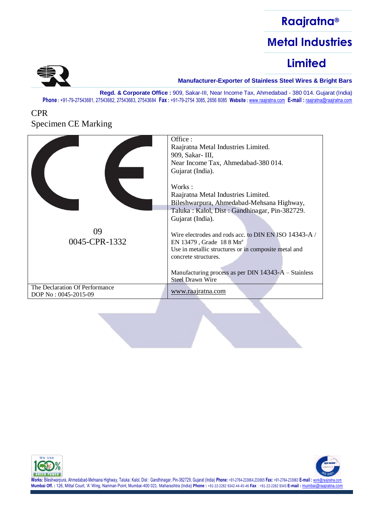### ––––––––––––––––––––––––– **Raajratna®** ––––––––––––––––––––––––– **Metal Industries** –––––––––––––––––––––––––

# **Limited**



––––––––––––––––––––––––– **Manufacturer-Exporter of Stainless Steel Wires & Bright Bars**

**Regd. & Corporate Office :** 909, Sakar-III, Near Income Tax, Ahmedabad - 380 014. Gujarat (India) **Phone :** +91-79-27543681, 27543682, 27543683, 27543684 **Fax :** +91-79-2754 3085, 2656 8085 **Website :** [www.raajratna.com](http://www.raajratna.com/) **E-mail :** [raajratna@raajratna.com](mailto:raajratna@raajratna.com)

### CPR Specimen CE Marking

|                                                        | Office:<br>Raajratna Metal Industries Limited.<br>909, Sakar- III,<br>Near Income Tax, Ahmedabad-380 014.<br>Gujarat (India).                                                                                                                                                                                                                                                                                                       |
|--------------------------------------------------------|-------------------------------------------------------------------------------------------------------------------------------------------------------------------------------------------------------------------------------------------------------------------------------------------------------------------------------------------------------------------------------------------------------------------------------------|
| 09<br>0045-CPR-1332                                    | Works:<br>Raajratna Metal Industries Limited.<br>Bileshwarpura, Ahmedabad-Mehsana Highway,<br>Taluka: Kalol, Dist: Gandhinagar, Pin-382729.<br>Gujarat (India).<br>Wire electrodes and rods acc. to DIN EN ISO 14343-A /<br>EN 13479, Grade $188 \text{ Mn}^e$<br>Use in metallic structures or in composite metal and<br>concrete structures.<br>Manufacturing process as per DIN $14343-A$ – Stainless<br><b>Steel Drawn Wire</b> |
| The Declaration Of Performance<br>DOP No: 0045-2015-09 | www.raajratna.com                                                                                                                                                                                                                                                                                                                                                                                                                   |



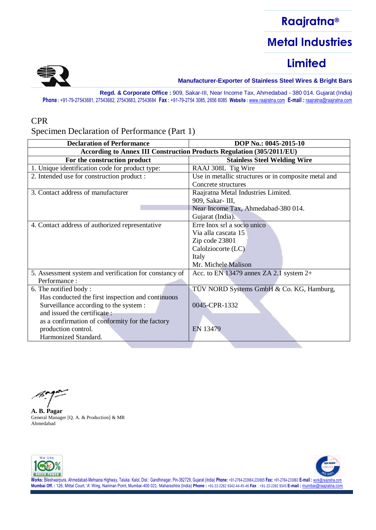

––––––––––––––––––––––––– **Manufacturer-Exporter of Stainless Steel Wires & Bright Bars**

**Regd. & Corporate Office :** 909, Sakar-III, Near Income Tax, Ahmedabad - 380 014. Gujarat (India) **Phone :** +91-79-27543681, 27543682, 27543683, 27543684 **Fax :** +91-79-2754 3085, 2656 8085 **Website :** [www.raajratna.com](http://www.raajratna.com/) **E-mail :** [raajratna@raajratna.com](mailto:raajratna@raajratna.com)

#### CPR

Specimen Declaration of Performance (Part 1)

| <b>According to Annex III Construction Products Regulation (305/2011/EU)</b><br>For the construction product<br><b>Stainless Steel Welding Wire</b><br>1. Unique identification code for product type:<br>RAAJ 308L Tig Wire<br>2. Intended use for construction product :<br>Use in metallic structures or in composite metal and<br>Concrete structures |  |
|-----------------------------------------------------------------------------------------------------------------------------------------------------------------------------------------------------------------------------------------------------------------------------------------------------------------------------------------------------------|--|
|                                                                                                                                                                                                                                                                                                                                                           |  |
|                                                                                                                                                                                                                                                                                                                                                           |  |
|                                                                                                                                                                                                                                                                                                                                                           |  |
|                                                                                                                                                                                                                                                                                                                                                           |  |
|                                                                                                                                                                                                                                                                                                                                                           |  |
| 3. Contact address of manufacturer<br>Raajratna Metal Industries Limited.                                                                                                                                                                                                                                                                                 |  |
| 909, Sakar- III,                                                                                                                                                                                                                                                                                                                                          |  |
| Near Income Tax, Ahmedabad-380 014.                                                                                                                                                                                                                                                                                                                       |  |
| Gujarat (India).                                                                                                                                                                                                                                                                                                                                          |  |
| Erre Inox srl a socio unico<br>4. Contact address of authorized representative                                                                                                                                                                                                                                                                            |  |
| Via alla cascata 15                                                                                                                                                                                                                                                                                                                                       |  |
| Zip code 23801                                                                                                                                                                                                                                                                                                                                            |  |
| Calolziocorte (LC)                                                                                                                                                                                                                                                                                                                                        |  |
| Italy                                                                                                                                                                                                                                                                                                                                                     |  |
| Mr. Michele Malison                                                                                                                                                                                                                                                                                                                                       |  |
| 5. Assessment system and verification for constancy of<br>Acc. to EN 13479 annex ZA 2.1 system 2+                                                                                                                                                                                                                                                         |  |
| Performance:                                                                                                                                                                                                                                                                                                                                              |  |
| TÜV NORD Systems GmbH & Co. KG, Hamburg,<br>6. The notified body:                                                                                                                                                                                                                                                                                         |  |
| Has conducted the first inspection and continuous                                                                                                                                                                                                                                                                                                         |  |
| Surveillance according to the system :<br>0045-CPR-1332                                                                                                                                                                                                                                                                                                   |  |
| and issued the certificate:                                                                                                                                                                                                                                                                                                                               |  |
| as a confirmation of conformity for the factory                                                                                                                                                                                                                                                                                                           |  |
| production control.<br>EN 13479                                                                                                                                                                                                                                                                                                                           |  |
| Harmonized Standard.                                                                                                                                                                                                                                                                                                                                      |  |

**A. B. Pagar** General Manager [Q. A. & Production] & MR Ahmedabad



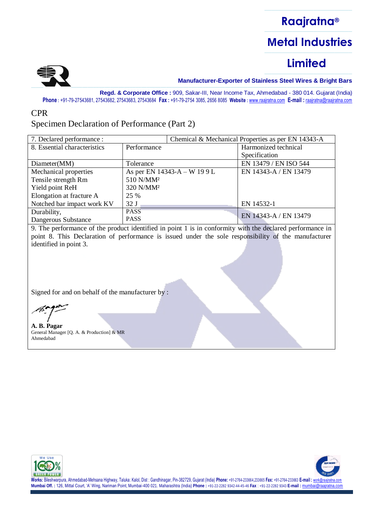

––––––––––––––––––––––––– **Manufacturer-Exporter of Stainless Steel Wires & Bright Bars**

**Regd. & Corporate Office :** 909, Sakar-III, Near Income Tax, Ahmedabad - 380 014. Gujarat (India) **Phone :** +91-79-27543681, 27543682, 27543683, 27543684 **Fax :** +91-79-2754 3085, 2656 8085 **Website :** [www.raajratna.com](http://www.raajratna.com/) **E-mail :** [raajratna@raajratna.com](mailto:raajratna@raajratna.com)

#### CPR

### Specimen Declaration of Performance (Part 2)

| 7. Declared performance :    |                              |  | Chemical & Mechanical Properties as per EN 14343-A |
|------------------------------|------------------------------|--|----------------------------------------------------|
| 8. Essential characteristics | Performance                  |  | Harmonized technical                               |
|                              |                              |  | Specification                                      |
| Diameter(MM)                 | Tolerance                    |  | EN 13479 / EN ISO 544                              |
| Mechanical properties        | As per EN 14343-A – W 19 9 L |  | EN 14343-A / EN 13479                              |
| Tensile strength Rm          | 510 N/MM <sup>2</sup>        |  |                                                    |
| Yield point ReH              | 320 N/MM <sup>2</sup>        |  |                                                    |
| Elongation at fracture A     | 25 %                         |  |                                                    |
| Notched bar impact work KV   | 32J                          |  | EN 14532-1                                         |
| Durability,                  | <b>PASS</b>                  |  | EN 14343-A / EN 13479                              |
| Dangerous Substance          | <b>PASS</b>                  |  |                                                    |

9. The performance of the product identified in point 1 is in conformity with the declared performance in point 8. This Declaration of performance is issued under the sole responsibility of the manufacturer identified in point 3.

Signed for and on behalf of the manufacturer by :

**A. B. Pagar** General Manager [Q. A. & Production] & MR Ahmedabad



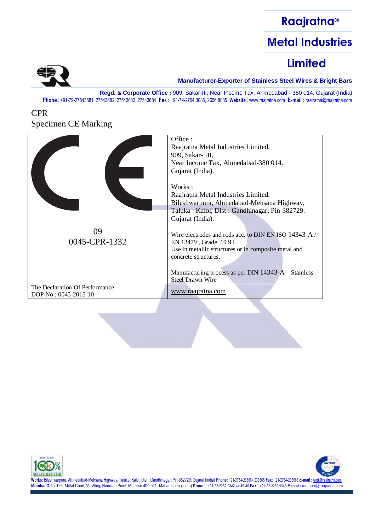### ––––––––––––––––––––––––– **Raajratna®** ––––––––––––––––––––––––– **Metal Industries**  $\frac{1}{\sqrt{2\pi\left(\frac{1}{2}\right)}}$

# **Limited**



––––––––––––––––––––––––– **Manufacturer-Exporter of Stainless Steel Wires & Bright Bars**

**Regd. & Corporate Office :** 909, Sakar-III, Near Income Tax, Ahmedabad - 380 014. Gujarat (India) **Phone :** +91-79-27543681, 27543682, 27543683, 27543684 **Fax :** +91-79-2754 3085, 2656 8085 **Website :** [www.raajratna.com](http://www.raajratna.com/) **E-mail :** [raajratna@raajratna.com](mailto:raajratna@raajratna.com)

### CPR Specimen CE Marking

|                                                        | Office:<br>Raajratna Metal Industries Limited.<br>909, Sakar- III,<br>Near Income Tax, Ahmedabad-380 014.<br>Gujarat (India).                                                                                                                                                                                                                                                                                        |
|--------------------------------------------------------|----------------------------------------------------------------------------------------------------------------------------------------------------------------------------------------------------------------------------------------------------------------------------------------------------------------------------------------------------------------------------------------------------------------------|
| 09<br>0045-CPR-1332                                    | Works:<br>Raajratna Metal Industries Limited.<br>Bileshwarpura, Ahmedabad-Mehsana Highway,<br>Taluka: Kalol, Dist: Gandhinagar, Pin-382729.<br>Gujarat (India).<br>Wire electrodes and rods acc. to DIN EN ISO 14343-A/<br>EN 13479, Grade 199L<br>Use in metallic structures or in composite metal and<br>concrete structures.<br>Manufacturing process as per DIN $14343-A$ – Stainless<br><b>Steel Drawn Wire</b> |
| The Declaration Of Performance<br>DOP No: 0045-2015-10 | www.raajratna.com                                                                                                                                                                                                                                                                                                                                                                                                    |



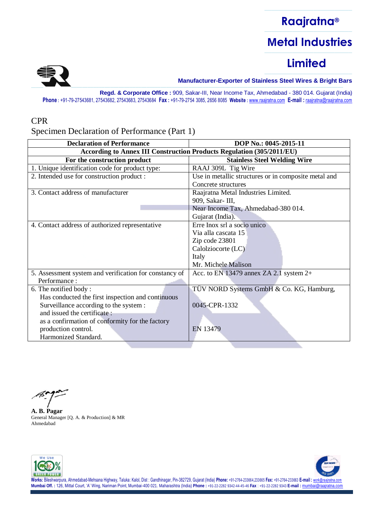

––––––––––––––––––––––––– **Manufacturer-Exporter of Stainless Steel Wires & Bright Bars**

**Regd. & Corporate Office :** 909, Sakar-III, Near Income Tax, Ahmedabad - 380 014. Gujarat (India) **Phone :** +91-79-27543681, 27543682, 27543683, 27543684 **Fax :** +91-79-2754 3085, 2656 8085 **Website :** [www.raajratna.com](http://www.raajratna.com/) **E-mail :** [raajratna@raajratna.com](mailto:raajratna@raajratna.com)

#### CPR

Specimen Declaration of Performance (Part 1)

| <b>According to Annex III Construction Products Regulation (305/2011/EU)</b><br>For the construction product<br><b>Stainless Steel Welding Wire</b><br>1. Unique identification code for product type:<br>RAAJ 309L Tig Wire<br>2. Intended use for construction product :<br>Use in metallic structures or in composite metal and<br>Concrete structures<br>3. Contact address of manufacturer<br>Raajratna Metal Industries Limited. |  |  |
|----------------------------------------------------------------------------------------------------------------------------------------------------------------------------------------------------------------------------------------------------------------------------------------------------------------------------------------------------------------------------------------------------------------------------------------|--|--|
|                                                                                                                                                                                                                                                                                                                                                                                                                                        |  |  |
|                                                                                                                                                                                                                                                                                                                                                                                                                                        |  |  |
|                                                                                                                                                                                                                                                                                                                                                                                                                                        |  |  |
|                                                                                                                                                                                                                                                                                                                                                                                                                                        |  |  |
|                                                                                                                                                                                                                                                                                                                                                                                                                                        |  |  |
|                                                                                                                                                                                                                                                                                                                                                                                                                                        |  |  |
| 909, Sakar- III,                                                                                                                                                                                                                                                                                                                                                                                                                       |  |  |
| Near Income Tax, Ahmedabad-380 014.                                                                                                                                                                                                                                                                                                                                                                                                    |  |  |
| Gujarat (India).                                                                                                                                                                                                                                                                                                                                                                                                                       |  |  |
| Erre Inox srl a socio unico<br>4. Contact address of authorized representative                                                                                                                                                                                                                                                                                                                                                         |  |  |
| Via alla cascata 15                                                                                                                                                                                                                                                                                                                                                                                                                    |  |  |
| Zip code 23801                                                                                                                                                                                                                                                                                                                                                                                                                         |  |  |
| Calolziocorte (LC)                                                                                                                                                                                                                                                                                                                                                                                                                     |  |  |
| Italy                                                                                                                                                                                                                                                                                                                                                                                                                                  |  |  |
| Mr. Michele Malison                                                                                                                                                                                                                                                                                                                                                                                                                    |  |  |
| 5. Assessment system and verification for constancy of<br>Acc. to EN 13479 annex ZA 2.1 system 2+                                                                                                                                                                                                                                                                                                                                      |  |  |
| Performance:                                                                                                                                                                                                                                                                                                                                                                                                                           |  |  |
| TÜV NORD Systems GmbH & Co. KG, Hamburg,<br>6. The notified body:                                                                                                                                                                                                                                                                                                                                                                      |  |  |
| Has conducted the first inspection and continuous                                                                                                                                                                                                                                                                                                                                                                                      |  |  |
| Surveillance according to the system :<br>0045-CPR-1332                                                                                                                                                                                                                                                                                                                                                                                |  |  |
| and issued the certificate:                                                                                                                                                                                                                                                                                                                                                                                                            |  |  |
| as a confirmation of conformity for the factory                                                                                                                                                                                                                                                                                                                                                                                        |  |  |
| production control.<br>EN 13479                                                                                                                                                                                                                                                                                                                                                                                                        |  |  |
| Harmonized Standard.                                                                                                                                                                                                                                                                                                                                                                                                                   |  |  |

**A. B. Pagar** General Manager [Q. A. & Production] & MR Ahmedabad



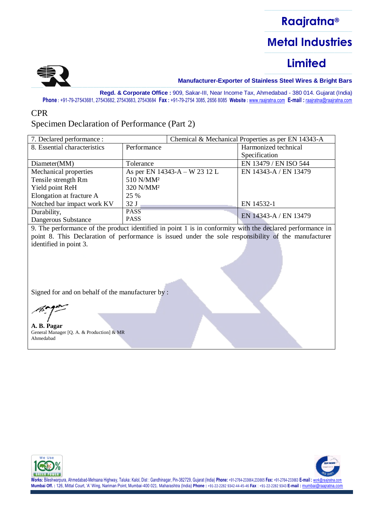

––––––––––––––––––––––––– **Manufacturer-Exporter of Stainless Steel Wires & Bright Bars**

**Regd. & Corporate Office :** 909, Sakar-III, Near Income Tax, Ahmedabad - 380 014. Gujarat (India) **Phone :** +91-79-27543681, 27543682, 27543683, 27543684 **Fax :** +91-79-2754 3085, 2656 8085 **Website :** [www.raajratna.com](http://www.raajratna.com/) **E-mail :** [raajratna@raajratna.com](mailto:raajratna@raajratna.com)

#### CPR

### Specimen Declaration of Performance (Part 2)

| 7. Declared performance :    |                               |  | Chemical & Mechanical Properties as per EN 14343-A |
|------------------------------|-------------------------------|--|----------------------------------------------------|
| 8. Essential characteristics | Performance                   |  | Harmonized technical                               |
|                              |                               |  | Specification                                      |
| Diameter(MM)                 | Tolerance                     |  | EN 13479 / EN ISO 544                              |
| Mechanical properties        | As per EN 14343-A – W 23 12 L |  | EN 14343-A / EN 13479                              |
| Tensile strength Rm          | 510 N/MM <sup>2</sup>         |  |                                                    |
| Yield point ReH              | 320 N/MM <sup>2</sup>         |  |                                                    |
| Elongation at fracture A     | 25 %                          |  |                                                    |
| Notched bar impact work KV   | 32J                           |  | EN 14532-1                                         |
| Durability,                  | <b>PASS</b>                   |  | EN 14343-A / EN 13479                              |
| Dangerous Substance          | <b>PASS</b>                   |  |                                                    |

9. The performance of the product identified in point 1 is in conformity with the declared performance in point 8. This Declaration of performance is issued under the sole responsibility of the manufacturer identified in point 3.

Signed for and on behalf of the manufacturer by :

**A. B. Pagar** General Manager [Q. A. & Production] & MR Ahmedabad



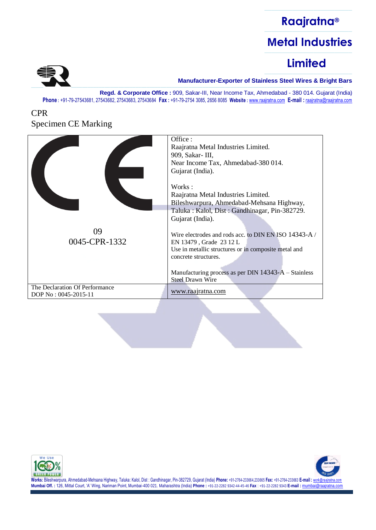### ––––––––––––––––––––––––– **Raajratna®** ––––––––––––––––––––––––– **Metal Industries**  $\frac{1}{\sqrt{2\pi\left(\frac{1}{2}\right)}}$

# **Limited**



––––––––––––––––––––––––– **Manufacturer-Exporter of Stainless Steel Wires & Bright Bars**

**Regd. & Corporate Office :** 909, Sakar-III, Near Income Tax, Ahmedabad - 380 014. Gujarat (India) **Phone :** +91-79-27543681, 27543682, 27543683, 27543684 **Fax :** +91-79-2754 3085, 2656 8085 **Website :** [www.raajratna.com](http://www.raajratna.com/) **E-mail :** [raajratna@raajratna.com](mailto:raajratna@raajratna.com)

### CPR Specimen CE Marking

|                                                        | Office:<br>Raajratna Metal Industries Limited.<br>909, Sakar- III,<br>Near Income Tax, Ahmedabad-380 014.<br>Gujarat (India).<br>Works:<br>Raajratna Metal Industries Limited.<br>Bileshwarpura, Ahmedabad-Mehsana Highway,<br>Taluka: Kalol, Dist: Gandhinagar, Pin-382729.<br>Gujarat (India). |
|--------------------------------------------------------|--------------------------------------------------------------------------------------------------------------------------------------------------------------------------------------------------------------------------------------------------------------------------------------------------|
| 09<br>0045-CPR-1332                                    | Wire electrodes and rods acc. to DIN EN ISO 14343-A/<br>EN 13479, Grade 23 12 L<br>Use in metallic structures or in composite metal and<br>concrete structures.<br>Manufacturing process as per DIN 14343-A – Stainless<br>Steel Drawn Wire                                                      |
| The Declaration Of Performance<br>DOP No: 0045-2015-11 | www.raajratna.com                                                                                                                                                                                                                                                                                |



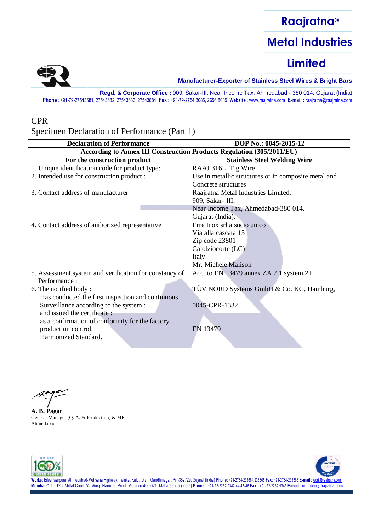

––––––––––––––––––––––––– **Manufacturer-Exporter of Stainless Steel Wires & Bright Bars**

**Regd. & Corporate Office :** 909, Sakar-III, Near Income Tax, Ahmedabad - 380 014. Gujarat (India) **Phone :** +91-79-27543681, 27543682, 27543683, 27543684 **Fax :** +91-79-2754 3085, 2656 8085 **Website :** [www.raajratna.com](http://www.raajratna.com/) **E-mail :** [raajratna@raajratna.com](mailto:raajratna@raajratna.com)

#### CPR

Specimen Declaration of Performance (Part 1)

| According to Annex III Construction Products Regulation (305/2011/EU)<br>For the construction product |                                                      |
|-------------------------------------------------------------------------------------------------------|------------------------------------------------------|
|                                                                                                       |                                                      |
|                                                                                                       | <b>Stainless Steel Welding Wire</b>                  |
| 1. Unique identification code for product type:<br>RAAJ 316L Tig Wire                                 |                                                      |
| 2. Intended use for construction product :                                                            | Use in metallic structures or in composite metal and |
| Concrete structures                                                                                   |                                                      |
| 3. Contact address of manufacturer                                                                    | Raajratna Metal Industries Limited.                  |
| 909, Sakar- III,                                                                                      |                                                      |
|                                                                                                       | Near Income Tax, Ahmedabad-380 014.                  |
| Gujarat (India).                                                                                      |                                                      |
| Erre Inox srl a socio unico<br>4. Contact address of authorized representative                        |                                                      |
| Via alla cascata 15                                                                                   |                                                      |
| Zip code 23801                                                                                        |                                                      |
| Calolziocorte (LC)                                                                                    |                                                      |
| Italy                                                                                                 |                                                      |
| Mr. Michele Malison                                                                                   |                                                      |
| 5. Assessment system and verification for constancy of                                                | Acc. to EN 13479 annex ZA 2.1 system $2+$            |
| Performance:                                                                                          |                                                      |
| 6. The notified body:                                                                                 | TÜV NORD Systems GmbH & Co. KG, Hamburg,             |
| Has conducted the first inspection and continuous                                                     |                                                      |
| Surveillance according to the system :<br>0045-CPR-1332                                               |                                                      |
| and issued the certificate:                                                                           |                                                      |
| as a confirmation of conformity for the factory                                                       |                                                      |
| production control.<br>EN 13479                                                                       |                                                      |
| Harmonized Standard.                                                                                  |                                                      |

**A. B. Pagar** General Manager [Q. A. & Production] & MR Ahmedabad



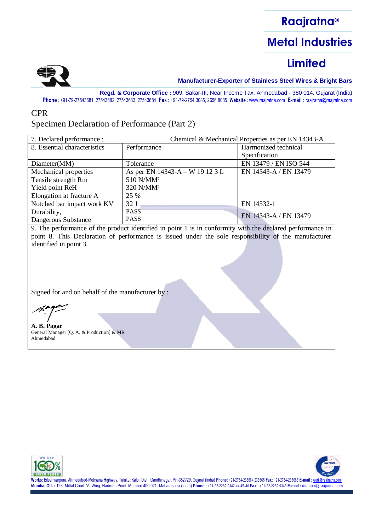

––––––––––––––––––––––––– **Manufacturer-Exporter of Stainless Steel Wires & Bright Bars**

**Regd. & Corporate Office :** 909, Sakar-III, Near Income Tax, Ahmedabad - 380 014. Gujarat (India) **Phone :** +91-79-27543681, 27543682, 27543683, 27543684 **Fax :** +91-79-2754 3085, 2656 8085 **Website :** [www.raajratna.com](http://www.raajratna.com/) **E-mail :** [raajratna@raajratna.com](mailto:raajratna@raajratna.com)

#### CPR

### Specimen Declaration of Performance (Part 2)

| 7. Declared performance :    |                                 |  | Chemical & Mechanical Properties as per EN 14343-A |
|------------------------------|---------------------------------|--|----------------------------------------------------|
| 8. Essential characteristics | Performance                     |  | Harmonized technical                               |
|                              |                                 |  | Specification                                      |
| Diameter(MM)                 | Tolerance                       |  | EN 13479 / EN ISO 544                              |
| Mechanical properties        | As per EN 14343-A – W 19 12 3 L |  | EN 14343-A / EN 13479                              |
| Tensile strength Rm          | 510 N/MM <sup>2</sup>           |  |                                                    |
| Yield point ReH              | 320 N/MM <sup>2</sup>           |  |                                                    |
| Elongation at fracture A     | 25 %                            |  |                                                    |
| Notched bar impact work KV   | 32 <sub>J</sub>                 |  | EN 14532-1                                         |
| Durability,                  | <b>PASS</b>                     |  | EN 14343-A / EN 13479                              |
| Dangerous Substance          | <b>PASS</b>                     |  |                                                    |

9. The performance of the product identified in point 1 is in conformity with the declared performance in point 8. This Declaration of performance is issued under the sole responsibility of the manufacturer identified in point 3.

Signed for and on behalf of the manufacturer by :

**A. B. Pagar** General Manager [Q. A. & Production] & MR Ahmedabad



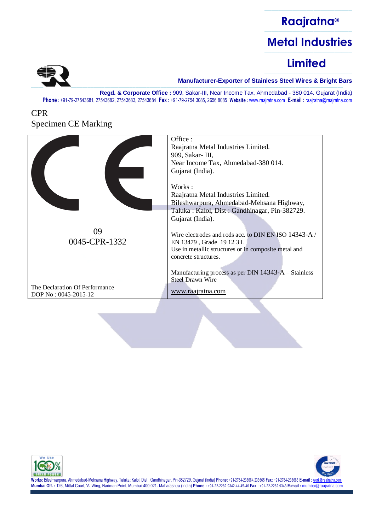### ––––––––––––––––––––––––– **Raajratna®** ––––––––––––––––––––––––– **Metal Industries** –––––––––––––––––––––––––

# **Limited**



––––––––––––––––––––––––– **Manufacturer-Exporter of Stainless Steel Wires & Bright Bars**

**Regd. & Corporate Office :** 909, Sakar-III, Near Income Tax, Ahmedabad - 380 014. Gujarat (India) **Phone :** +91-79-27543681, 27543682, 27543683, 27543684 **Fax :** +91-79-2754 3085, 2656 8085 **Website :** [www.raajratna.com](http://www.raajratna.com/) **E-mail :** [raajratna@raajratna.com](mailto:raajratna@raajratna.com)

### CPR Specimen CE Marking

|                                                        | Office:<br>Raajratna Metal Industries Limited.<br>909, Sakar- III,<br>Near Income Tax, Ahmedabad-380 014.<br>Gujarat (India).                                                                                                                                                                                                                                                                                          |
|--------------------------------------------------------|------------------------------------------------------------------------------------------------------------------------------------------------------------------------------------------------------------------------------------------------------------------------------------------------------------------------------------------------------------------------------------------------------------------------|
| 09<br>0045-CPR-1332                                    | Works:<br>Raajratna Metal Industries Limited.<br>Bileshwarpura, Ahmedabad-Mehsana Highway,<br>Taluka: Kalol, Dist: Gandhinagar, Pin-382729.<br>Gujarat (India).<br>Wire electrodes and rods acc. to DIN EN ISO 14343-A/<br>EN 13479, Grade 19123L<br>Use in metallic structures or in composite metal and<br>concrete structures.<br>Manufacturing process as per DIN $14343-A$ – Stainless<br><b>Steel Drawn Wire</b> |
| The Declaration Of Performance<br>DOP No: 0045-2015-12 | www.raajratna.com                                                                                                                                                                                                                                                                                                                                                                                                      |



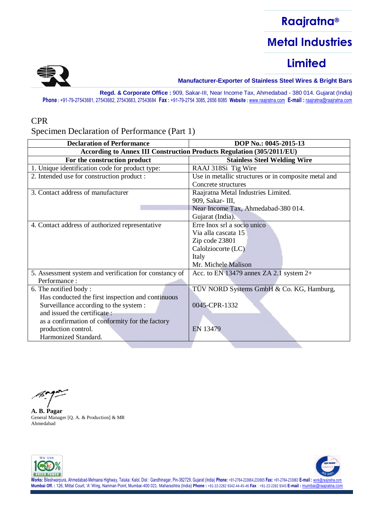

––––––––––––––––––––––––– **Manufacturer-Exporter of Stainless Steel Wires & Bright Bars**

**Regd. & Corporate Office :** 909, Sakar-III, Near Income Tax, Ahmedabad - 380 014. Gujarat (India) **Phone :** +91-79-27543681, 27543682, 27543683, 27543684 **Fax :** +91-79-2754 3085, 2656 8085 **Website :** [www.raajratna.com](http://www.raajratna.com/) **E-mail :** [raajratna@raajratna.com](mailto:raajratna@raajratna.com)

#### CPR

Specimen Declaration of Performance (Part 1)

| <b>Declaration of Performance</b>                                     | DOP No.: 0045-2015-13                                |
|-----------------------------------------------------------------------|------------------------------------------------------|
| According to Annex III Construction Products Regulation (305/2011/EU) |                                                      |
| For the construction product                                          | <b>Stainless Steel Welding Wire</b>                  |
| 1. Unique identification code for product type:                       | RAAJ 318Si Tig Wire                                  |
| 2. Intended use for construction product :                            | Use in metallic structures or in composite metal and |
|                                                                       | Concrete structures                                  |
| 3. Contact address of manufacturer                                    | Raajratna Metal Industries Limited.                  |
|                                                                       | 909, Sakar- III,                                     |
|                                                                       | Near Income Tax, Ahmedabad-380 014.                  |
|                                                                       | Gujarat (India).                                     |
| 4. Contact address of authorized representative                       | Erre Inox srl a socio unico                          |
|                                                                       | Via alla cascata 15                                  |
|                                                                       | Zip code 23801                                       |
|                                                                       | Calolziocorte (LC)                                   |
|                                                                       | Italy                                                |
|                                                                       | Mr. Michele Malison                                  |
| 5. Assessment system and verification for constancy of                | Acc. to EN 13479 annex ZA 2.1 system $2+$            |
| Performance:                                                          |                                                      |
| 6. The notified body:                                                 | TÜV NORD Systems GmbH & Co. KG, Hamburg,             |
| Has conducted the first inspection and continuous                     |                                                      |
| Surveillance according to the system :                                | 0045-CPR-1332                                        |
| and issued the certificate:                                           |                                                      |
| as a confirmation of conformity for the factory                       |                                                      |
| production control.                                                   | EN 13479                                             |
| Harmonized Standard.                                                  |                                                      |
|                                                                       |                                                      |

**A. B. Pagar** General Manager [Q. A. & Production] & MR Ahmedabad



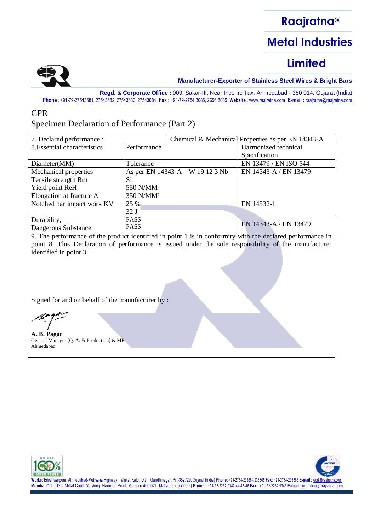

––––––––––––––––––––––––– **Manufacturer-Exporter of Stainless Steel Wires & Bright Bars**

**Regd. & Corporate Office :** 909, Sakar-III, Near Income Tax, Ahmedabad - 380 014. Gujarat (India) **Phone :** +91-79-27543681, 27543682, 27543683, 27543684 **Fax :** +91-79-2754 3085, 2656 8085 **Website :** [www.raajratna.com](http://www.raajratna.com/) **E-mail :** [raajratna@raajratna.com](mailto:raajratna@raajratna.com)

#### CPR

### Specimen Declaration of Performance (Part 2)

| 7. Declared performance :    |                       |                                  | Chemical & Mechanical Properties as per EN 14343-A |
|------------------------------|-----------------------|----------------------------------|----------------------------------------------------|
| 8. Essential characteristics | Performance           |                                  | Harmonized technical                               |
|                              |                       |                                  | Specification                                      |
| Diameter(MM)                 | Tolerance             |                                  | EN 13479 / EN ISO 544                              |
| Mechanical properties        |                       | As per EN 14343-A – W 19 12 3 Nb | EN 14343-A / EN 13479                              |
| Tensile strength Rm          | Si                    |                                  |                                                    |
| Yield point ReH              | 550 N/MM <sup>2</sup> |                                  |                                                    |
| Elongation at fracture A     | 350 N/MM <sup>2</sup> |                                  |                                                    |
| Notched bar impact work KV   | 25 %                  |                                  | EN 14532-1                                         |
|                              | 32J                   |                                  |                                                    |
| Durability,                  | <b>PASS</b>           |                                  |                                                    |
| Dangerous Substance          | <b>PASS</b>           |                                  | EN 14343-A / EN 13479                              |

9. The performance of the product identified in point 1 is in conformity with the declared performance in point 8. This Declaration of performance is issued under the sole responsibility of the manufacturer identified in point 3.

Signed for and on behalf of the manufacturer by :

**A. B. Pagar** General Manager [Q. A. & Production] & MR Ahmedabad





Works: Bileshwarpura, Ahmedabad-Mehsana Highway, Taluka: Kalol, Dist : Gandhinagar, Pin-382729, Gujarat (India) Phone: +91-2764-233664,233665 Fax: +91-2764-233663 E-mail : work@raa Mumbai Off.: 126, Mittal Court, 'A' Wing, Nariman Point, Mumbai-400 021. Maharashtra (India) Phone: +91-22-2282 9342-44-45-46 Fax : +91-22-2282 9343 E-mail : mumbai@raajratha.cor